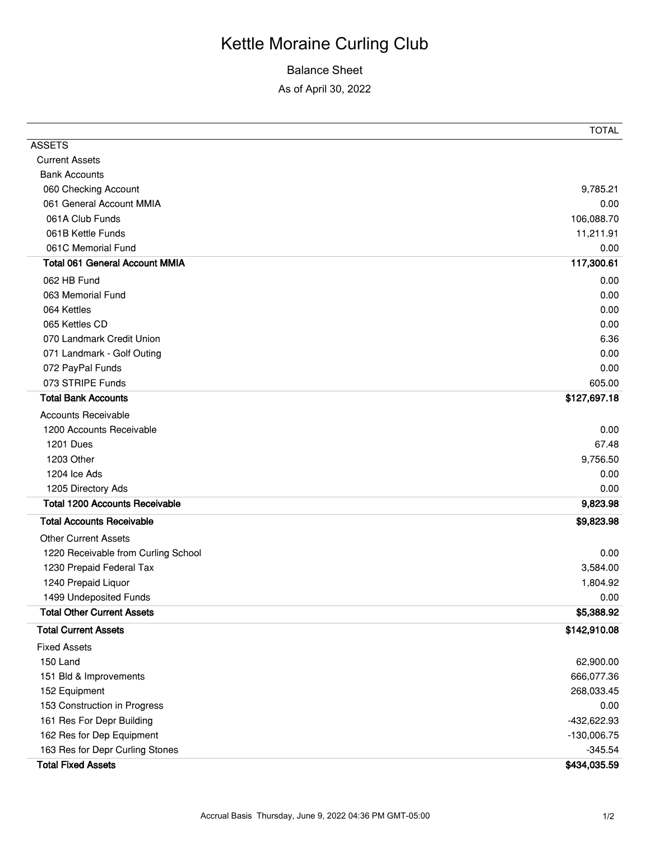## Kettle Moraine Curling Club

## Balance Sheet

As of April 30, 2022

|                                       | <b>TOTAL</b>  |
|---------------------------------------|---------------|
| <b>ASSETS</b>                         |               |
| <b>Current Assets</b>                 |               |
| <b>Bank Accounts</b>                  |               |
| 060 Checking Account                  | 9,785.21      |
| 061 General Account MMIA              | 0.00          |
| 061A Club Funds                       | 106,088.70    |
| 061B Kettle Funds                     | 11,211.91     |
| 061C Memorial Fund                    | 0.00          |
| <b>Total 061 General Account MMIA</b> | 117,300.61    |
| 062 HB Fund                           | 0.00          |
| 063 Memorial Fund                     | 0.00          |
| 064 Kettles                           | 0.00          |
| 065 Kettles CD                        | 0.00          |
| 070 Landmark Credit Union             | 6.36          |
| 071 Landmark - Golf Outing            | 0.00          |
| 072 PayPal Funds                      | 0.00          |
| 073 STRIPE Funds                      | 605.00        |
| <b>Total Bank Accounts</b>            | \$127,697.18  |
| <b>Accounts Receivable</b>            |               |
| 1200 Accounts Receivable              | 0.00          |
| 1201 Dues                             | 67.48         |
| 1203 Other                            | 9,756.50      |
| 1204 Ice Ads                          | 0.00          |
| 1205 Directory Ads                    | 0.00          |
| <b>Total 1200 Accounts Receivable</b> | 9,823.98      |
| <b>Total Accounts Receivable</b>      | \$9,823.98    |
| <b>Other Current Assets</b>           |               |
| 1220 Receivable from Curling School   | 0.00          |
| 1230 Prepaid Federal Tax              | 3,584.00      |
| 1240 Prepaid Liquor                   | 1,804.92      |
| 1499 Undeposited Funds                | 0.00          |
| <b>Total Other Current Assets</b>     | \$5,388.92    |
| <b>Total Current Assets</b>           | \$142,910.08  |
| <b>Fixed Assets</b>                   |               |
| 150 Land                              | 62,900.00     |
| 151 Bld & Improvements                | 666,077.36    |
| 152 Equipment                         | 268,033.45    |
| 153 Construction in Progress          | 0.00          |
| 161 Res For Depr Building             | -432,622.93   |
| 162 Res for Dep Equipment             | $-130,006.75$ |
| 163 Res for Depr Curling Stones       | $-345.54$     |
| <b>Total Fixed Assets</b>             | \$434,035.59  |